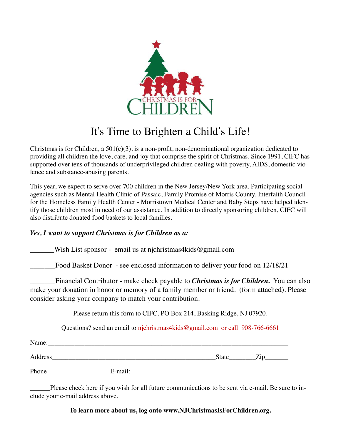

## It's Time to Brighten a Child's Life!

Christmas is for Children, a  $501(c)(3)$ , is a non-profit, non-denominational organization dedicated to providing all children the love, care, and joy that comprise the spirit of Christmas. Since 1991, CIFC has supported over tens of thousands of underprivileged children dealing with poverty, AIDS, domestic violence and substance-abusing parents.

This year, we expect to serve over 700 children in the New Jersey/New York area. Participating social agencies such as Mental Health Clinic of Passaic, Family Promise of Morris County, Interfaith Council for the Homeless Family Health Center - Morristown Medical Center and Baby Steps have helped identify those children most in need of our assistance. In addition to directly sponsoring children, CIFC will also distribute donated food baskets to local families.

## *Yes, I want to support Christmas is for Children as a:*

Wish List sponsor - email us at njchristmas4kids@gmail.com

\_\_\_\_\_\_\_Food Basket Donor - see enclosed information to deliver your food on 12/18/21

\_\_\_\_\_\_\_Financial Contributor - make check payable to *Christmas is for Children.* You can also make your donation in honor or memory of a family member or friend. (form attached). Please consider asking your company to match your contribution.

Please return this form to CIFC, PO Box 214, Basking Ridge, NJ 07920.

Questions? send an email to njchristmas4kids@gmail.com or call 908-766-6661

| Name:   |         |       |      |
|---------|---------|-------|------|
| Address |         | State | ′.1N |
| Phone   | E-mail: |       |      |

Please check here if you wish for all future communications to be sent via e-mail. Be sure to include your e-mail address above.

## **To learn more about us, log onto www.NJChristmasIsForChildren.org.**